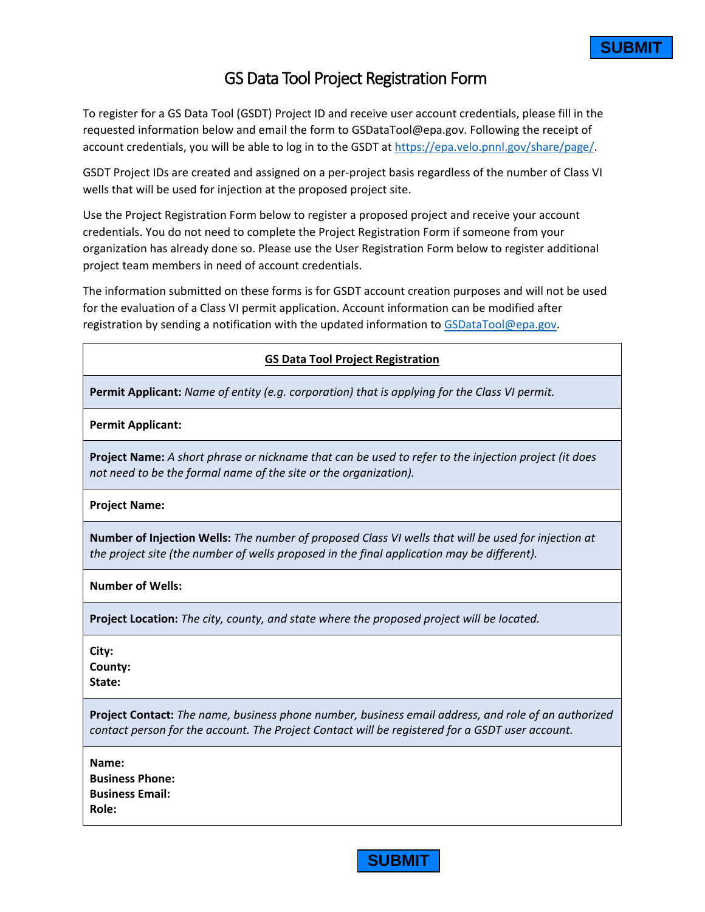## GS Data Tool Project Registration Form

To register for a GS Data Tool (GSDT) Project ID and receive user account credentials, please fill in the requested information below and email the form to GSDataTool@epa.gov. Following the receipt of account credentials, you will be able to log in to the GSDT at https://epa.velo.pnnl.gov/share/page/.

GSDT Project IDs are created and assigned on a per-project basis regardless of the number of Class VI wells that will be used for injection at the proposed project site.

Use the Project Registration Form below to register a proposed project and receive your account credentials. You do not need to complete the Project Registration Form if someone from your organization has already done so. Please use the User Registration Form below to register additional project team members in need of account credentials.

The information submitted on these forms is for GSDT account creation purposes and will not be used for the evaluation of a Class VI permit application. Account information can be modified after registration by sending a notification with the updated information to [GSDataTool@epa.gov.](mailto:GSDataTool@epa.gov)

## **GS Data Tool Project Registration**

**Permit Applicant:** *Name of entity (e.g. corporation) that is applying for the Class VI permit.*

**Permit Applicant:**

**Project Name:** *A short phrase or nickname that can be used to refer to the injection project (it does not need to be the formal name of the site or the organization).*

**Project Name:**

**Number of Injection Wells:** *The number of proposed Class VI wells that will be used for injection at the project site (the number of wells proposed in the final application may be different).*

**Number of Wells:**

**Project Location:** *The city, county, and state where the proposed project will be located.*

**City:**

**County:**

**State:**

**Project Contact:** *The name, business phone number, business email address, and role of an authorized contact person for the account. The Project Contact will be registered for a GSDT user account.*

**Name: Business Phone: Business Email: Role:**